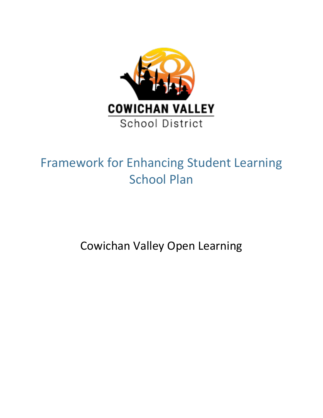

# Framework for Enhancing Student Learning School Plan

Cowichan Valley Open Learning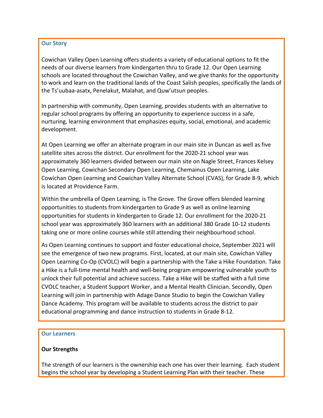## **Our Story**

Cowichan Valley Open Learning offers students a variety of educational options to fit the needs of our diverse learners from kindergarten thru to Grade 12. Our Open Learning schools are located throughout the Cowichan Valley, and we give thanks for the opportunity to work and learn on the traditional lands of the Coast Salish peoples, specifically the lands of the Ts'uubaa-asatx, Penelakut, Malahat, and Quw'utsun peoples.

In partnership with community, Open Learning, provides students with an alternative to regular school programs by offering an opportunity to experience success in a safe, nurturing, learning environment that emphasizes equity, social, emotional, and academic development.

At Open Learning we offer an alternate program in our main site in Duncan as well as five satellite sites across the district. Our enrollment for the 2020-21 school year was approximately 360 learners divided between our main site on Nagle Street, Frances Kelsey Open Learning, Cowichan Secondary Open Learning, Chemainus Open Learning, Lake Cowichan Open Learning and Cowichan Valley Alternate School (CVAS), for Grade 8-9, which is located at Providence Farm.

Within the umbrella of Open Learning, is The Grove. The Grove offers blended learning opportunities to students from kindergarten to Grade 9 as well as online learning opportunities for students in kindergarten to Grade 12. Our enrollment for the 2020-21 school year was approximately 360 learners with an additional 380 Grade 10-12 students taking one or more online courses while still attending their neighbourhood school.

As Open Learning continues to support and foster educational choice, September 2021 will see the emergence of two new programs. First, located, at our main site, Cowichan Valley Open Learning Co-Op (CVOLC) will begin a partnership with the Take a Hike Foundation. Take a Hike is a full-time mental health and well-being program empowering vulnerable youth to unlock their full potential and achieve success. Take a Hike will be staffed with a full time CVOLC teacher, a Student Support Worker, and a Mental Health Clinician. Secondly, Open Learning will join in partnership with Adage Dance Studio to begin the Cowichan Valley Dance Academy. This program will be available to students across the district to pair educational programming and dance instruction to students in Grade 8-12.

#### **Our Learners**

## **Our Strengths**

The strength of our learners is the ownership each one has over their learning. Each student begins the school year by developing a Student Learning Plan with their teacher. These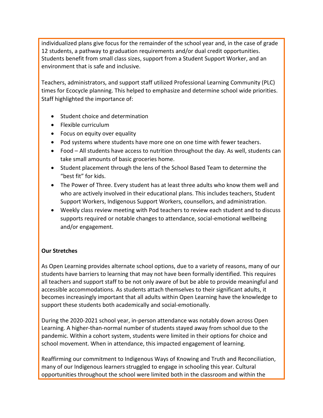individualized plans give focus for the remainder of the school year and, in the case of grade 12 students, a pathway to graduation requirements and/or dual credit opportunities. Students benefit from small class sizes, support from a Student Support Worker, and an environment that is safe and inclusive.

Teachers, administrators, and support staff utilized Professional Learning Community (PLC) times for Ecocycle planning. This helped to emphasize and determine school wide priorities. Staff highlighted the importance of:

- Student choice and determination
- Flexible curriculum
- Focus on equity over equality
- Pod systems where students have more one on one time with fewer teachers.
- Food All students have access to nutrition throughout the day. As well, students can take small amounts of basic groceries home.
- Student placement through the lens of the School Based Team to determine the "best fit" for kids.
- The Power of Three. Every student has at least three adults who know them well and who are actively involved in their educational plans. This includes teachers, Student Support Workers, Indigenous Support Workers, counsellors, and administration.
- Weekly class review meeting with Pod teachers to review each student and to discuss supports required or notable changes to attendance, social-emotional wellbeing and/or engagement.

## **Our Stretches**

As Open Learning provides alternate school options, due to a variety of reasons, many of our students have barriers to learning that may not have been formally identified. This requires all teachers and support staff to be not only aware of but be able to provide meaningful and accessible accommodations. As students attach themselves to their significant adults, it becomes increasingly important that all adults within Open Learning have the knowledge to support these students both academically and social-emotionally.

During the 2020-2021 school year, in-person attendance was notably down across Open Learning. A higher-than-normal number of students stayed away from school due to the pandemic. Within a cohort system, students were limited in their options for choice and school movement. When in attendance, this impacted engagement of learning.

Reaffirming our commitment to Indigenous Ways of Knowing and Truth and Reconciliation, many of our Indigenous learners struggled to engage in schooling this year. Cultural opportunities throughout the school were limited both in the classroom and within the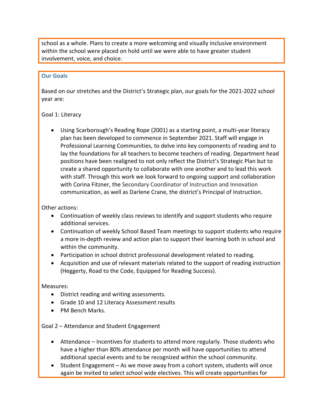school as a whole. Plans to create a more welcoming and visually inclusive environment within the school were placed on hold until we were able to have greater student involvement, voice, and choice.

#### **Our Goals**

Based on our stretches and the District's Strategic plan, our goals for the 2021-2022 school year are:

## Goal 1: Literacy

 Using Scarborough's Reading Rope (2001) as a starting point, a multi-year literacy plan has been developed to commence in September 2021. Staff will engage in Professional Learning Communities, to delve into key components of reading and to lay the foundations for all teachers to become teachers of reading. Department head positions have been realigned to not only reflect the District's Strategic Plan but to create a shared opportunity to collaborate with one another and to lead this work with staff. Through this work we look forward to ongoing support and collaboration with Corina Fitzner, the Secondary Coordinator of Instruction and Innovation communication, as well as Darlene Crane, the district's Principal of Instruction.

## Other actions:

- Continuation of weekly class reviews to identify and support students who require additional services.
- Continuation of weekly School Based Team meetings to support students who require a more in-depth review and action plan to support their learning both in school and within the community.
- Participation in school district professional development related to reading.
- Acquisition and use of relevant materials related to the support of reading instruction (Heggerty, Road to the Code, Equipped for Reading Success).

## Measures:

- District reading and writing assessments.
- Grade 10 and 12 Literacy Assessment results
- PM Bench Marks.

## Goal 2 – Attendance and Student Engagement

- Attendance Incentives for students to attend more regularly. Those students who have a higher than 80% attendance per month will have opportunities to attend additional special events and to be recognized within the school community.
- Student Engagement As we move away from a cohort system, students will once again be invited to select school wide electives. This will create opportunities for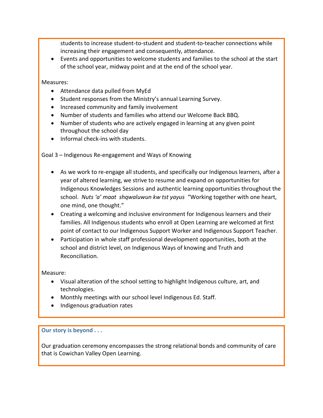students to increase student-to-student and student-to-teacher connections while increasing their engagement and consequently, attendance.

 Events and opportunities to welcome students and families to the school at the start of the school year, midway point and at the end of the school year.

Measures:

- Attendance data pulled from MyEd
- Student responses from the Ministry's annual Learning Survey.
- Increased community and family involvement
- Number of students and families who attend our Welcome Back BBQ.
- Number of students who are actively engaged in learning at any given point throughout the school day
- Informal check-ins with students.

Goal 3 – Indigenous Re-engagement and Ways of Knowing

- As we work to re-engage all students, and specifically our Indigenous learners, after a year of altered learning, we strive to resume and expand on opportunities for Indigenous Knowledges Sessions and authentic learning opportunities throughout the school. *Nuts 'a' maat shqwaluwun kw tst yayus* "Working together with one heart, one mind, one thought."
- Creating a welcoming and inclusive environment for Indigenous learners and their families. All Indigenous students who enroll at Open Learning are welcomed at first point of contact to our Indigenous Support Worker and Indigenous Support Teacher.
- Participation in whole staff professional development opportunities, both at the school and district level, on Indigenous Ways of knowing and Truth and Reconciliation.

Measure:

- Visual alteration of the school setting to highlight Indigenous culture, art, and technologies.
- Monthly meetings with our school level Indigenous Ed. Staff.
- Indigenous graduation rates

#### **Our story is beyond . . .**

Our graduation ceremony encompasses the strong relational bonds and community of care that is Cowichan Valley Open Learning.